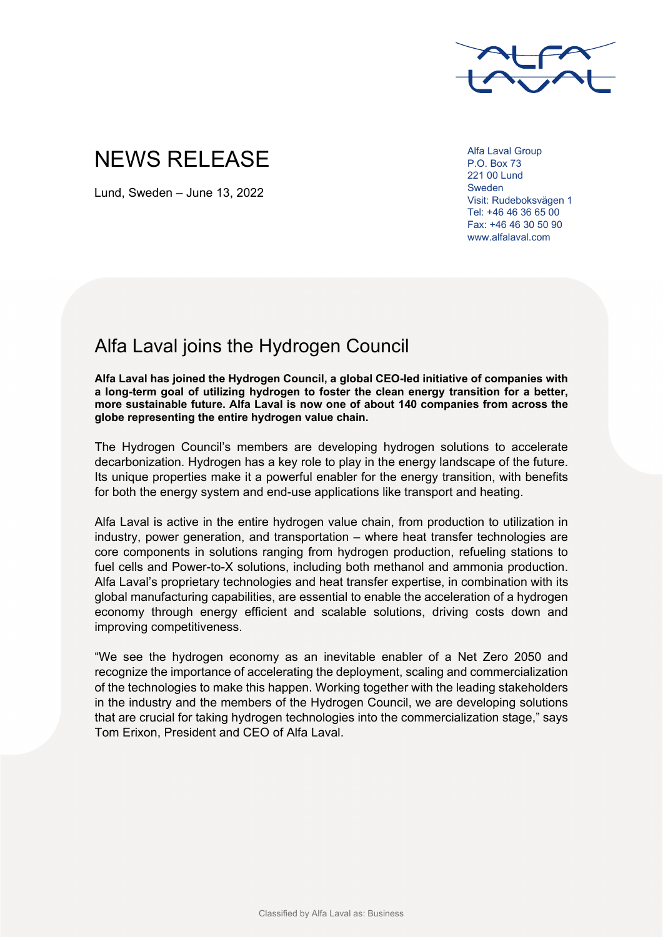

# NEWS RELEASE

Lund, Sweden – June 13, 2022

Alfa Laval Group P.O. Box 73 221 00 Lund Sweden Visit: Rudeboksvägen 1 Tel: +46 46 36 65 00 Fax: +46 46 30 50 90 www.alfalaval.com

## Alfa Laval joins the Hydrogen Council

**Alfa Laval has joined the Hydrogen Council, a global CEO-led initiative of companies with a long-term goal of utilizing hydrogen to foster the clean energy transition for a better, more sustainable future. Alfa Laval is now one of about 140 companies from across the globe representing the entire hydrogen value chain.** 

The Hydrogen Council's members are developing hydrogen solutions to accelerate decarbonization. Hydrogen has a key role to play in the energy landscape of the future. Its unique properties make it a powerful enabler for the energy transition, with benefits for both the energy system and end-use applications like transport and heating.

Alfa Laval is active in the entire hydrogen value chain, from production to utilization in industry, power generation, and transportation – where heat transfer technologies are core components in solutions ranging from hydrogen production, refueling stations to fuel cells and Power-to-X solutions, including both methanol and ammonia production. Alfa Laval's proprietary technologies and heat transfer expertise, in combination with its global manufacturing capabilities, are essential to enable the acceleration of a hydrogen economy through energy efficient and scalable solutions, driving costs down and improving competitiveness.

"We see the hydrogen economy as an inevitable enabler of a Net Zero 2050 and recognize the importance of accelerating the deployment, scaling and commercialization of the technologies to make this happen. Working together with the leading stakeholders in the industry and the members of the Hydrogen Council, we are developing solutions that are crucial for taking hydrogen technologies into the commercialization stage," says Tom Erixon, President and CEO of Alfa Laval.